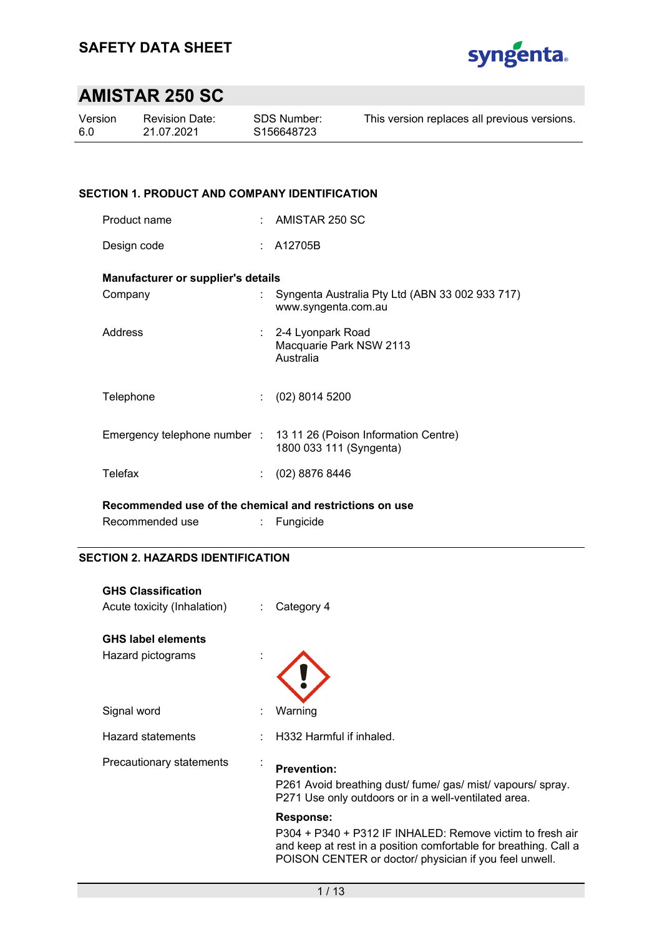

| Version | <b>Revision Date:</b> | SDS Number: | This version replaces all previous versions. |
|---------|-----------------------|-------------|----------------------------------------------|
| 6.0     | 21.07.2021            | S156648723  |                                              |
|         |                       |             |                                              |

### **SECTION 1. PRODUCT AND COMPANY IDENTIFICATION**

| Product name |  | AMISTAR 250 SC |
|--------------|--|----------------|
|--------------|--|----------------|

Design code : A12705B

### **Manufacturer or supplier's details**

| Company   | Syngenta Australia Pty Ltd (ABN 33 002 933 717)<br>www.syngenta.com.au                       |
|-----------|----------------------------------------------------------------------------------------------|
| Address   | : 2-4 Lyonpark Road<br>Macquarie Park NSW 2113<br>Australia                                  |
| Telephone | $(02)$ 8014 5200                                                                             |
|           | Emergency telephone number : 13 11 26 (Poison Information Centre)<br>1800 033 111 (Syngenta) |
| Telefax   | $(02)$ 8876 8446                                                                             |
|           |                                                                                              |

**Recommended use of the chemical and restrictions on use** 

| Fungicide |
|-----------|
|           |

### **SECTION 2. HAZARDS IDENTIFICATION**

| <b>GHS Classification</b><br>Acute toxicity (Inhalation) | ÷ | Category 4                                                                                                                                                                                                  |
|----------------------------------------------------------|---|-------------------------------------------------------------------------------------------------------------------------------------------------------------------------------------------------------------|
| <b>GHS label elements</b><br>Hazard pictograms           |   |                                                                                                                                                                                                             |
| Signal word                                              |   | Warning                                                                                                                                                                                                     |
| Hazard statements                                        |   | H332 Harmful if inhaled.                                                                                                                                                                                    |
| Precautionary statements                                 | ٠ | <b>Prevention:</b><br>P261 Avoid breathing dust/ fume/ gas/ mist/ vapours/ spray.<br>P271 Use only outdoors or in a well-ventilated area.                                                                   |
|                                                          |   | <b>Response:</b><br>P304 + P340 + P312 IF INHALED: Remove victim to fresh air<br>and keep at rest in a position comfortable for breathing. Call a<br>POISON CENTER or doctor/ physician if you feel unwell. |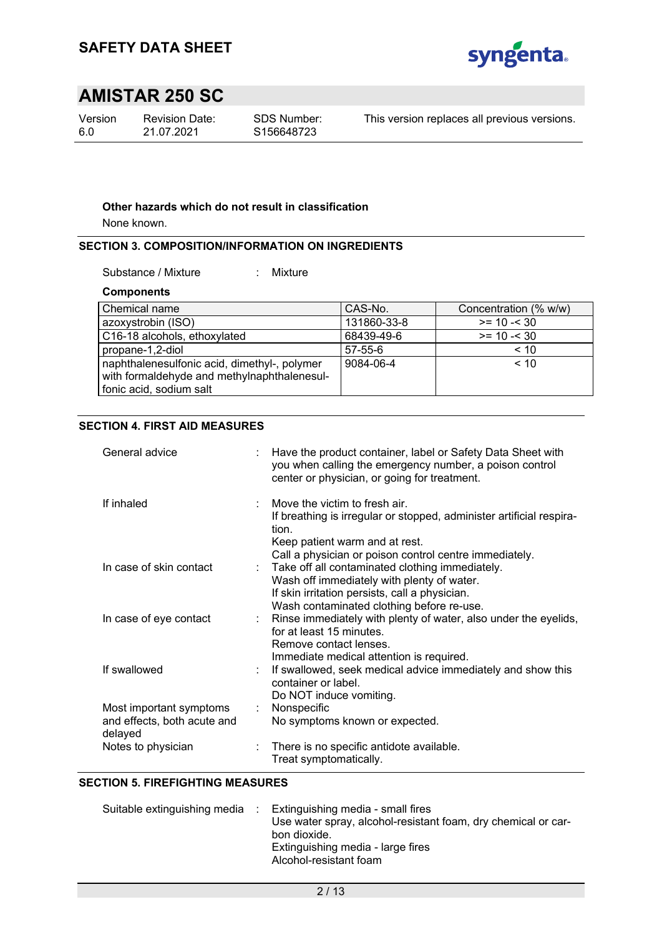

Version 6.0

Revision Date: 21.07.2021

This version replaces all previous versions.

### **Other hazards which do not result in classification**

None known.

### **SECTION 3. COMPOSITION/INFORMATION ON INGREDIENTS**

Substance / Mixture : Mixture

**Components** 

| Chemical name                                                                                                          | CAS-No.       | Concentration (% w/w) |
|------------------------------------------------------------------------------------------------------------------------|---------------|-----------------------|
| azoxystrobin (ISO)                                                                                                     | 131860-33-8   | $>= 10 - 30$          |
| C16-18 alcohols, ethoxylated                                                                                           | 68439-49-6    | $>= 10 - 30$          |
| propane-1,2-diol                                                                                                       | $57 - 55 - 6$ | < 10                  |
| naphthalenesulfonic acid, dimethyl-, polymer<br>with formaldehyde and methylnaphthalenesul-<br>fonic acid, sodium salt | 9084-06-4     | < 10                  |

### **SECTION 4. FIRST AID MEASURES**

| General advice                                                    | Have the product container, label or Safety Data Sheet with<br>you when calling the emergency number, a poison control<br>center or physician, or going for treatment.                                                                                       |
|-------------------------------------------------------------------|--------------------------------------------------------------------------------------------------------------------------------------------------------------------------------------------------------------------------------------------------------------|
| If inhaled                                                        | Move the victim to fresh air.<br>If breathing is irregular or stopped, administer artificial respira-<br>tion.<br>Keep patient warm and at rest.                                                                                                             |
| In case of skin contact                                           | Call a physician or poison control centre immediately.<br>Take off all contaminated clothing immediately.<br>÷.<br>Wash off immediately with plenty of water.<br>If skin irritation persists, call a physician.<br>Wash contaminated clothing before re-use. |
| In case of eye contact                                            | Rinse immediately with plenty of water, also under the eyelids,<br>for at least 15 minutes.<br>Remove contact lenses.<br>Immediate medical attention is required.                                                                                            |
| If swallowed                                                      | If swallowed, seek medical advice immediately and show this<br>container or label.<br>Do NOT induce vomiting.                                                                                                                                                |
| Most important symptoms<br>and effects, both acute and<br>delayed | Nonspecific<br>t.<br>No symptoms known or expected.                                                                                                                                                                                                          |
| Notes to physician                                                | There is no specific antidote available.<br>Treat symptomatically.                                                                                                                                                                                           |

#### **SECTION 5. FIREFIGHTING MEASURES**

| Suitable extinguishing media | Extinguishing media - small fires<br>Use water spray, alcohol-resistant foam, dry chemical or car-<br>bon dioxide.<br>Extinguishing media - large fires<br>Alcohol-resistant foam |
|------------------------------|-----------------------------------------------------------------------------------------------------------------------------------------------------------------------------------|
|                              |                                                                                                                                                                                   |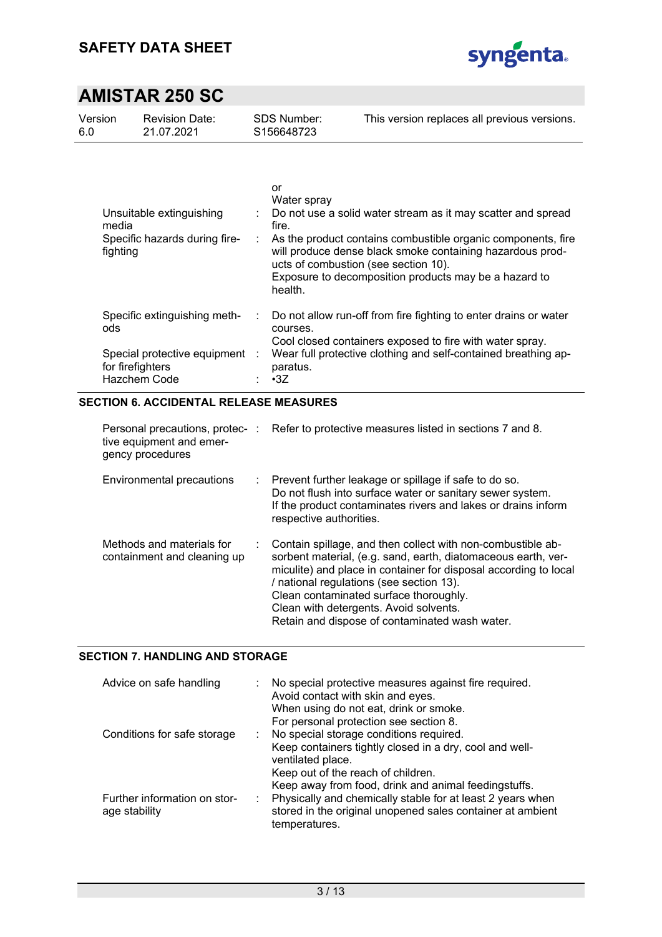

| Version | <b>Revision Date:</b> | SDS Number: | This version replaces all previous versions. |
|---------|-----------------------|-------------|----------------------------------------------|
| 6.0     | 21.07.2021            | S156648723  |                                              |
|         |                       |             |                                              |

| Unsuitable extinguishing<br>media<br>Specific hazards during fire-<br>fighting |    | or<br>Water spray<br>: Do not use a solid water stream as it may scatter and spread<br>fire.<br>As the product contains combustible organic components, fire<br>will produce dense black smoke containing hazardous prod-<br>ucts of combustion (see section 10).<br>Exposure to decomposition products may be a hazard to<br>health. |
|--------------------------------------------------------------------------------|----|---------------------------------------------------------------------------------------------------------------------------------------------------------------------------------------------------------------------------------------------------------------------------------------------------------------------------------------|
| Specific extinguishing meth-<br>ods                                            | ÷. | Do not allow run-off from fire fighting to enter drains or water<br>courses.                                                                                                                                                                                                                                                          |
|                                                                                |    | Cool closed containers exposed to fire with water spray.                                                                                                                                                                                                                                                                              |
| Special protective equipment :                                                 |    | Wear full protective clothing and self-contained breathing ap-                                                                                                                                                                                                                                                                        |
| for firefighters                                                               |    | paratus.                                                                                                                                                                                                                                                                                                                              |
| Hazchem Code                                                                   |    | $\cdot$ 3Z                                                                                                                                                                                                                                                                                                                            |

### **SECTION 6. ACCIDENTAL RELEASE MEASURES**

| tive equipment and emer-<br>gency procedures             | Personal precautions, protec-: Refer to protective measures listed in sections 7 and 8.                                                                                                                                                                                                                                                                                              |
|----------------------------------------------------------|--------------------------------------------------------------------------------------------------------------------------------------------------------------------------------------------------------------------------------------------------------------------------------------------------------------------------------------------------------------------------------------|
| Environmental precautions                                | $\therefore$ Prevent further leakage or spillage if safe to do so.<br>Do not flush into surface water or sanitary sewer system.<br>If the product contaminates rivers and lakes or drains inform<br>respective authorities.                                                                                                                                                          |
| Methods and materials for<br>containment and cleaning up | : Contain spillage, and then collect with non-combustible ab-<br>sorbent material, (e.g. sand, earth, diatomaceous earth, ver-<br>miculite) and place in container for disposal according to local<br>/ national regulations (see section 13).<br>Clean contaminated surface thoroughly.<br>Clean with detergents. Avoid solvents.<br>Retain and dispose of contaminated wash water. |

### **SECTION 7. HANDLING AND STORAGE**

| Advice on safe handling                       | No special protective measures against fire required.<br>Avoid contact with skin and eyes.<br>When using do not eat, drink or smoke.<br>For personal protection see section 8.                                        |
|-----------------------------------------------|-----------------------------------------------------------------------------------------------------------------------------------------------------------------------------------------------------------------------|
| Conditions for safe storage                   | No special storage conditions required.<br>Keep containers tightly closed in a dry, cool and well-<br>ventilated place.<br>Keep out of the reach of children.<br>Keep away from food, drink and animal feedingstuffs. |
| Further information on stor-<br>age stability | Physically and chemically stable for at least 2 years when<br>stored in the original unopened sales container at ambient<br>temperatures.                                                                             |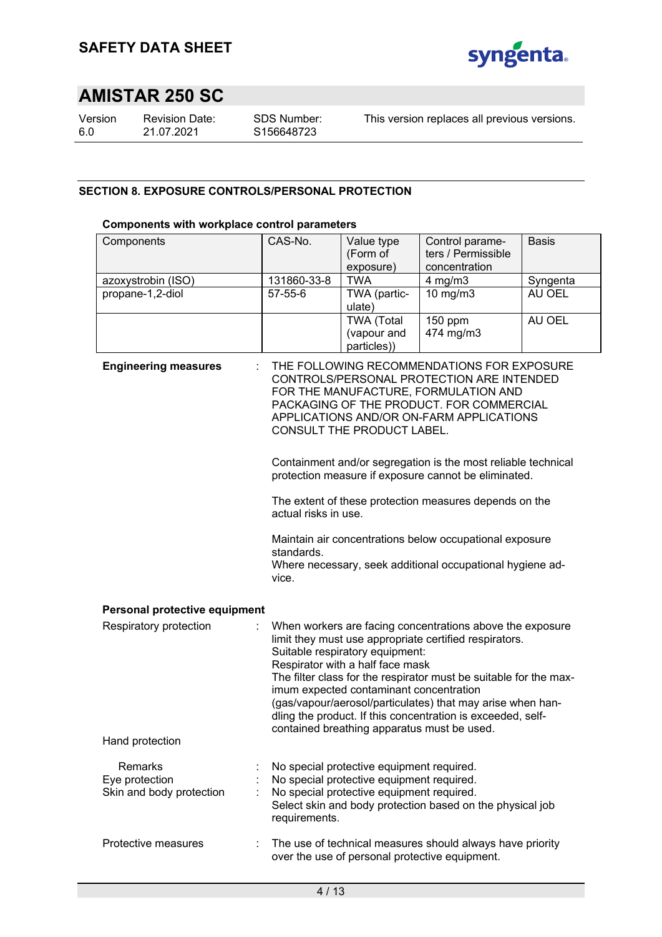

Version 6.0

Revision Date: 21.07.2021

This version replaces all previous versions.

## **SECTION 8. EXPOSURE CONTROLS/PERSONAL PROTECTION**

### **Components with workplace control parameters**

| Components                                            | CAS-No.                                                                                                                                                                                                                                                                                                                                                                                                                                                                                | Value type<br>(Form of<br>exposure)                                                                                                 | Control parame-<br>ters / Permissible<br>concentration                                                                                                                                                                  | Basis    |  |  |  |
|-------------------------------------------------------|----------------------------------------------------------------------------------------------------------------------------------------------------------------------------------------------------------------------------------------------------------------------------------------------------------------------------------------------------------------------------------------------------------------------------------------------------------------------------------------|-------------------------------------------------------------------------------------------------------------------------------------|-------------------------------------------------------------------------------------------------------------------------------------------------------------------------------------------------------------------------|----------|--|--|--|
| azoxystrobin (ISO)                                    | 131860-33-8                                                                                                                                                                                                                                                                                                                                                                                                                                                                            | <b>TWA</b>                                                                                                                          | $4$ mg/m $3$                                                                                                                                                                                                            | Syngenta |  |  |  |
| propane-1,2-diol                                      | 57-55-6                                                                                                                                                                                                                                                                                                                                                                                                                                                                                | TWA (partic-<br>ulate)                                                                                                              | $10$ mg/m $3$                                                                                                                                                                                                           | AU OEL   |  |  |  |
|                                                       |                                                                                                                                                                                                                                                                                                                                                                                                                                                                                        | <b>TWA (Total</b><br>(vapour and<br>particles))                                                                                     | 150 ppm<br>474 mg/m3                                                                                                                                                                                                    | AU OEL   |  |  |  |
| <b>Engineering measures</b>                           |                                                                                                                                                                                                                                                                                                                                                                                                                                                                                        | CONSULT THE PRODUCT LABEL.                                                                                                          | THE FOLLOWING RECOMMENDATIONS FOR EXPOSURE<br>CONTROLS/PERSONAL PROTECTION ARE INTENDED<br>FOR THE MANUFACTURE, FORMULATION AND<br>PACKAGING OF THE PRODUCT. FOR COMMERCIAL<br>APPLICATIONS AND/OR ON-FARM APPLICATIONS |          |  |  |  |
|                                                       | Containment and/or segregation is the most reliable technical<br>protection measure if exposure cannot be eliminated.                                                                                                                                                                                                                                                                                                                                                                  |                                                                                                                                     |                                                                                                                                                                                                                         |          |  |  |  |
|                                                       | The extent of these protection measures depends on the<br>actual risks in use.                                                                                                                                                                                                                                                                                                                                                                                                         |                                                                                                                                     |                                                                                                                                                                                                                         |          |  |  |  |
|                                                       | Maintain air concentrations below occupational exposure<br>standards.<br>Where necessary, seek additional occupational hygiene ad-<br>vice.                                                                                                                                                                                                                                                                                                                                            |                                                                                                                                     |                                                                                                                                                                                                                         |          |  |  |  |
| Personal protective equipment                         |                                                                                                                                                                                                                                                                                                                                                                                                                                                                                        |                                                                                                                                     |                                                                                                                                                                                                                         |          |  |  |  |
| Respiratory protection                                | When workers are facing concentrations above the exposure<br>limit they must use appropriate certified respirators.<br>Suitable respiratory equipment:<br>Respirator with a half face mask<br>The filter class for the respirator must be suitable for the max-<br>imum expected contaminant concentration<br>(gas/vapour/aerosol/particulates) that may arise when han-<br>dling the product. If this concentration is exceeded, self-<br>contained breathing apparatus must be used. |                                                                                                                                     |                                                                                                                                                                                                                         |          |  |  |  |
| Hand protection                                       |                                                                                                                                                                                                                                                                                                                                                                                                                                                                                        |                                                                                                                                     |                                                                                                                                                                                                                         |          |  |  |  |
| Remarks<br>Eye protection<br>Skin and body protection | requirements.                                                                                                                                                                                                                                                                                                                                                                                                                                                                          | No special protective equipment required.<br>No special protective equipment required.<br>No special protective equipment required. | Select skin and body protection based on the physical job                                                                                                                                                               |          |  |  |  |
| Protective measures                                   |                                                                                                                                                                                                                                                                                                                                                                                                                                                                                        |                                                                                                                                     | The use of technical measures should always have priority<br>over the use of personal protective equipment.                                                                                                             |          |  |  |  |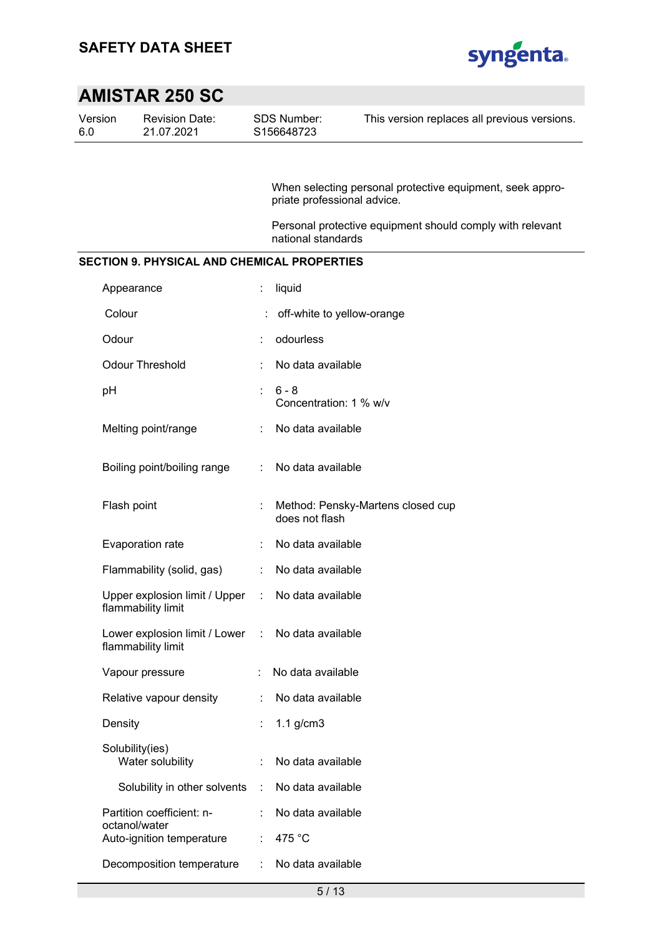

| Version<br>6.0 | <b>Revision Date:</b><br>21.07.2021                 |   | <b>SDS Number:</b><br>S156648723  | This version replaces all previous versions.              |
|----------------|-----------------------------------------------------|---|-----------------------------------|-----------------------------------------------------------|
|                |                                                     |   |                                   |                                                           |
|                |                                                     |   | priate professional advice.       | When selecting personal protective equipment, seek appro- |
|                |                                                     |   | national standards                | Personal protective equipment should comply with relevant |
|                | <b>SECTION 9. PHYSICAL AND CHEMICAL PROPERTIES</b>  |   |                                   |                                                           |
|                | Appearance                                          | t | liquid                            |                                                           |
|                | Colour                                              |   | off-white to yellow-orange        |                                                           |
|                | Odour                                               |   | odourless                         |                                                           |
|                | <b>Odour Threshold</b>                              |   | No data available                 |                                                           |
| pH             |                                                     | ÷ | $6 - 8$<br>Concentration: 1 % w/v |                                                           |
|                | Melting point/range                                 |   | No data available                 |                                                           |
|                | Boiling point/boiling range                         | ÷ | No data available                 |                                                           |
|                | Flash point                                         |   | does not flash                    | Method: Pensky-Martens closed cup                         |
|                | Evaporation rate                                    |   | No data available                 |                                                           |
|                | Flammability (solid, gas)                           | ÷ | No data available                 |                                                           |
|                | Upper explosion limit / Upper<br>flammability limit | ÷ | No data available                 |                                                           |
|                | Lower explosion limit / Lower<br>flammability limit | ÷ | No data available                 |                                                           |
|                | Vapour pressure                                     |   | No data available                 |                                                           |
|                | Relative vapour density                             |   | No data available                 |                                                           |
|                | Density                                             |   | $1.1$ g/cm $3$                    |                                                           |
|                | Solubility(ies)<br>Water solubility                 |   | No data available                 |                                                           |
|                | Solubility in other solvents                        | ÷ | No data available                 |                                                           |
|                | Partition coefficient: n-                           |   | No data available                 |                                                           |
|                | octanol/water<br>Auto-ignition temperature          | ÷ | 475 °C                            |                                                           |
|                | Decomposition temperature                           |   | No data available                 |                                                           |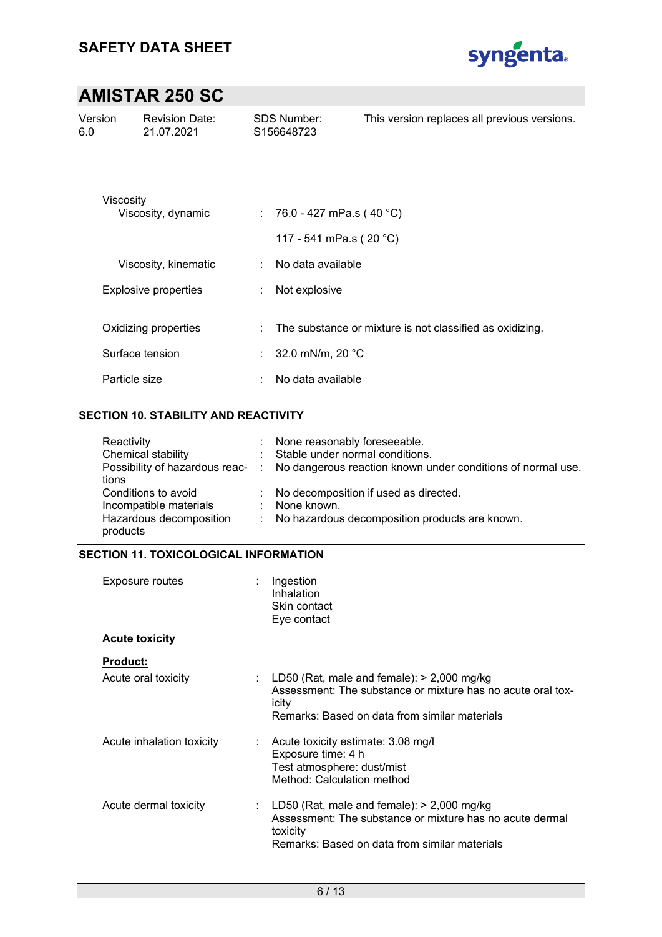

| Version<br>6.0 | <b>Revision Date:</b><br>21.07.2021 |   | <b>SDS Number:</b><br>S <sub>156648723</sub> | This version replaces all previous versions.             |
|----------------|-------------------------------------|---|----------------------------------------------|----------------------------------------------------------|
|                |                                     |   |                                              |                                                          |
|                | Viscosity<br>Viscosity, dynamic     |   | : 76.0 - 427 mPa.s (40 °C)                   |                                                          |
|                |                                     |   | 117 - 541 mPa.s (20 °C)                      |                                                          |
|                | Viscosity, kinematic                | ÷ | No data available                            |                                                          |
|                | Explosive properties                |   | Not explosive                                |                                                          |
|                | Oxidizing properties                | ÷ |                                              | The substance or mixture is not classified as oxidizing. |
|                | Surface tension                     |   | : $32.0 \text{ mN/m}$ , 20 °C                |                                                          |
|                | Particle size                       | ٠ | No data available                            |                                                          |

## **SECTION 10. STABILITY AND REACTIVITY**

| Reactivity              | : None reasonably foreseeable.                                                               |
|-------------------------|----------------------------------------------------------------------------------------------|
| Chemical stability      | : Stable under normal conditions.                                                            |
|                         | Possibility of hazardous reac- : No dangerous reaction known under conditions of normal use. |
| tions                   |                                                                                              |
| Conditions to avoid     | : No decomposition if used as directed.                                                      |
| Incompatible materials  | : None known.                                                                                |
| Hazardous decomposition | : No hazardous decomposition products are known.                                             |
| products                |                                                                                              |

### **SECTION 11. TOXICOLOGICAL INFORMATION**

| Exposure routes           | Ingestion<br>Inhalation<br>Skin contact<br>Eye contact                                                                                                                  |
|---------------------------|-------------------------------------------------------------------------------------------------------------------------------------------------------------------------|
| <b>Acute toxicity</b>     |                                                                                                                                                                         |
| <b>Product:</b>           |                                                                                                                                                                         |
| Acute oral toxicity       | : LD50 (Rat, male and female): $>$ 2,000 mg/kg<br>Assessment: The substance or mixture has no acute oral tox-<br>icity<br>Remarks: Based on data from similar materials |
| Acute inhalation toxicity | $\therefore$ Acute toxicity estimate: 3.08 mg/l<br>Exposure time: 4 h<br>Test atmosphere: dust/mist<br>Method: Calculation method                                       |
| Acute dermal toxicity     | : LD50 (Rat, male and female): $>$ 2,000 mg/kg<br>Assessment: The substance or mixture has no acute dermal<br>toxicity<br>Remarks: Based on data from similar materials |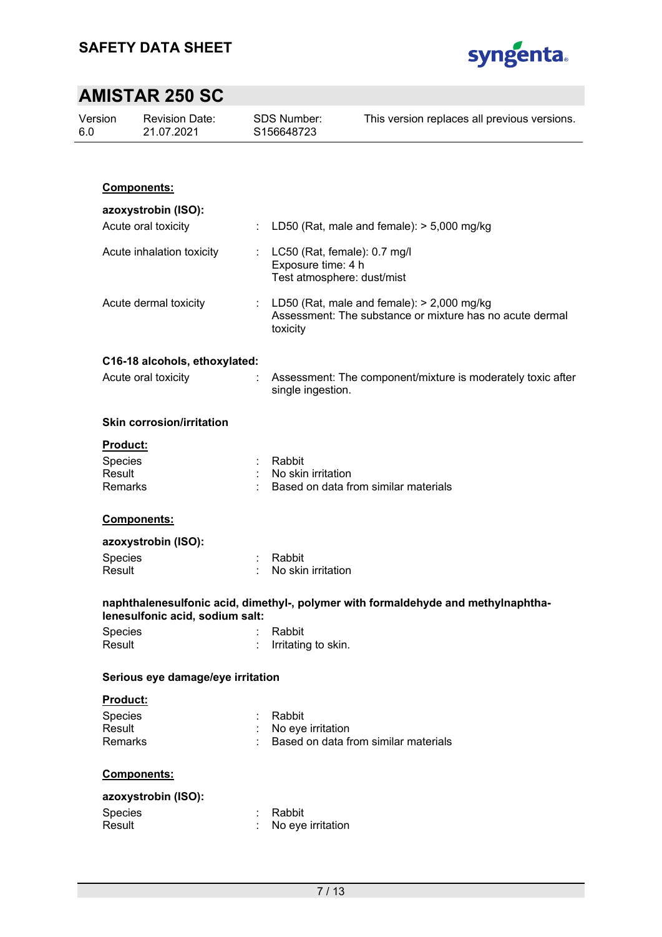

| Version<br>6.0  | <b>Revision Date:</b><br>21.07.2021 |   | <b>SDS Number:</b><br>S156648723                                                                                     | This version replaces all previous versions.                                      |
|-----------------|-------------------------------------|---|----------------------------------------------------------------------------------------------------------------------|-----------------------------------------------------------------------------------|
|                 |                                     |   |                                                                                                                      |                                                                                   |
|                 | <b>Components:</b>                  |   |                                                                                                                      |                                                                                   |
|                 | azoxystrobin (ISO):                 |   |                                                                                                                      |                                                                                   |
|                 | Acute oral toxicity                 | ÷ |                                                                                                                      | LD50 (Rat, male and female): > 5,000 mg/kg                                        |
|                 |                                     |   |                                                                                                                      |                                                                                   |
|                 | Acute inhalation toxicity           |   | Exposure time: 4 h                                                                                                   | LC50 (Rat, female): 0.7 mg/l<br>Test atmosphere: dust/mist                        |
|                 | Acute dermal toxicity               | ÷ | LD50 (Rat, male and female): $>$ 2,000 mg/kg<br>Assessment: The substance or mixture has no acute dermal<br>toxicity |                                                                                   |
|                 | C16-18 alcohols, ethoxylated:       |   |                                                                                                                      |                                                                                   |
|                 | Acute oral toxicity                 |   | single ingestion.                                                                                                    | Assessment: The component/mixture is moderately toxic after                       |
|                 | <b>Skin corrosion/irritation</b>    |   |                                                                                                                      |                                                                                   |
| <b>Product:</b> |                                     |   |                                                                                                                      |                                                                                   |
| Species         |                                     |   | Rabbit                                                                                                               |                                                                                   |
| Result          |                                     |   | No skin irritation                                                                                                   |                                                                                   |
| Remarks         |                                     |   |                                                                                                                      | Based on data from similar materials                                              |
|                 | Components:                         |   |                                                                                                                      |                                                                                   |
|                 | azoxystrobin (ISO):                 |   |                                                                                                                      |                                                                                   |
| Species         |                                     |   | Rabbit                                                                                                               |                                                                                   |
| Result          |                                     |   | No skin irritation                                                                                                   |                                                                                   |
|                 | lenesulfonic acid, sodium salt:     |   |                                                                                                                      | naphthalenesulfonic acid, dimethyl-, polymer with formaldehyde and methylnaphtha- |
| Species         |                                     |   | Rabbit                                                                                                               |                                                                                   |
| Result          |                                     |   | Irritating to skin.                                                                                                  |                                                                                   |
|                 | Serious eye damage/eye irritation   |   |                                                                                                                      |                                                                                   |
| <b>Product:</b> |                                     |   |                                                                                                                      |                                                                                   |
| Species         |                                     |   | Rabbit                                                                                                               |                                                                                   |
| Result          |                                     |   | No eye irritation                                                                                                    |                                                                                   |
| Remarks         |                                     |   |                                                                                                                      | Based on data from similar materials                                              |
|                 | Components:                         |   |                                                                                                                      |                                                                                   |
|                 | azoxystrobin (ISO):                 |   |                                                                                                                      |                                                                                   |
| Species         |                                     |   | Rabbit                                                                                                               |                                                                                   |
| Result          |                                     |   | No eye irritation                                                                                                    |                                                                                   |
|                 |                                     |   |                                                                                                                      |                                                                                   |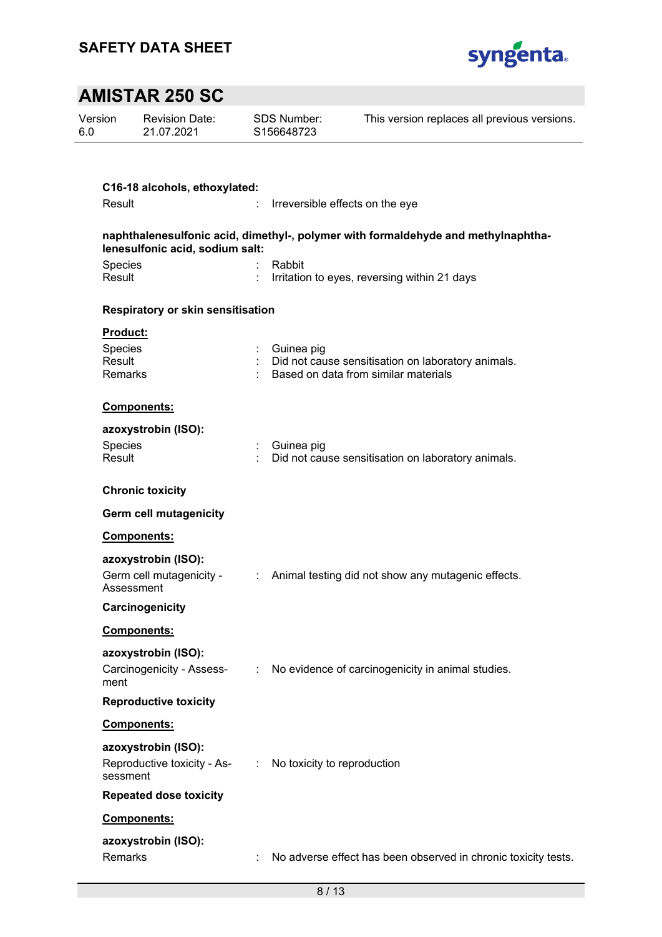

| Version<br>6.0    | <b>Revision Date:</b><br>21.07.2021                       |                             | <b>SDS Number:</b><br>S156648723 | This version replaces all previous versions.                                               |
|-------------------|-----------------------------------------------------------|-----------------------------|----------------------------------|--------------------------------------------------------------------------------------------|
|                   |                                                           |                             |                                  |                                                                                            |
|                   | C16-18 alcohols, ethoxylated:                             |                             |                                  |                                                                                            |
| Result            |                                                           | ÷                           |                                  | Irreversible effects on the eye                                                            |
|                   | lenesulfonic acid, sodium salt:                           |                             |                                  | naphthalenesulfonic acid, dimethyl-, polymer with formaldehyde and methylnaphtha-          |
| Species           |                                                           |                             | Rabbit                           |                                                                                            |
| Result            |                                                           |                             |                                  | Irritation to eyes, reversing within 21 days                                               |
|                   | Respiratory or skin sensitisation                         |                             |                                  |                                                                                            |
| <b>Product:</b>   |                                                           |                             |                                  |                                                                                            |
| Species           |                                                           |                             | Guinea pig                       |                                                                                            |
| Result<br>Remarks |                                                           |                             |                                  | Did not cause sensitisation on laboratory animals.<br>Based on data from similar materials |
|                   |                                                           |                             |                                  |                                                                                            |
|                   | Components:                                               |                             |                                  |                                                                                            |
|                   | azoxystrobin (ISO):                                       |                             |                                  |                                                                                            |
| Species<br>Result |                                                           |                             | Guinea pig                       | Did not cause sensitisation on laboratory animals.                                         |
|                   |                                                           |                             |                                  |                                                                                            |
|                   | <b>Chronic toxicity</b>                                   |                             |                                  |                                                                                            |
|                   | <b>Germ cell mutagenicity</b>                             |                             |                                  |                                                                                            |
|                   | Components:                                               |                             |                                  |                                                                                            |
|                   | azoxystrobin (ISO):                                       |                             |                                  |                                                                                            |
|                   | Germ cell mutagenicity -                                  | $\mathbb{Z}^{\mathbb{Z}^n}$ |                                  | Animal testing did not show any mutagenic effects.                                         |
|                   | Assessment                                                |                             |                                  |                                                                                            |
|                   | Carcinogenicity                                           |                             |                                  |                                                                                            |
|                   | <b>Components:</b>                                        |                             |                                  |                                                                                            |
|                   | azoxystrobin (ISO):                                       |                             |                                  |                                                                                            |
| ment              | Carcinogenicity - Assess-                                 | $\mathcal{I}^{\mathcal{I}}$ |                                  | No evidence of carcinogenicity in animal studies.                                          |
|                   | <b>Reproductive toxicity</b>                              |                             |                                  |                                                                                            |
|                   | Components:                                               |                             |                                  |                                                                                            |
|                   | azoxystrobin (ISO):                                       |                             |                                  |                                                                                            |
| sessment          | Reproductive toxicity - As- : No toxicity to reproduction |                             |                                  |                                                                                            |
|                   | <b>Repeated dose toxicity</b>                             |                             |                                  |                                                                                            |
|                   | Components:                                               |                             |                                  |                                                                                            |
|                   | azoxystrobin (ISO):                                       |                             |                                  |                                                                                            |
| Remarks           |                                                           |                             |                                  | No adverse effect has been observed in chronic toxicity tests.                             |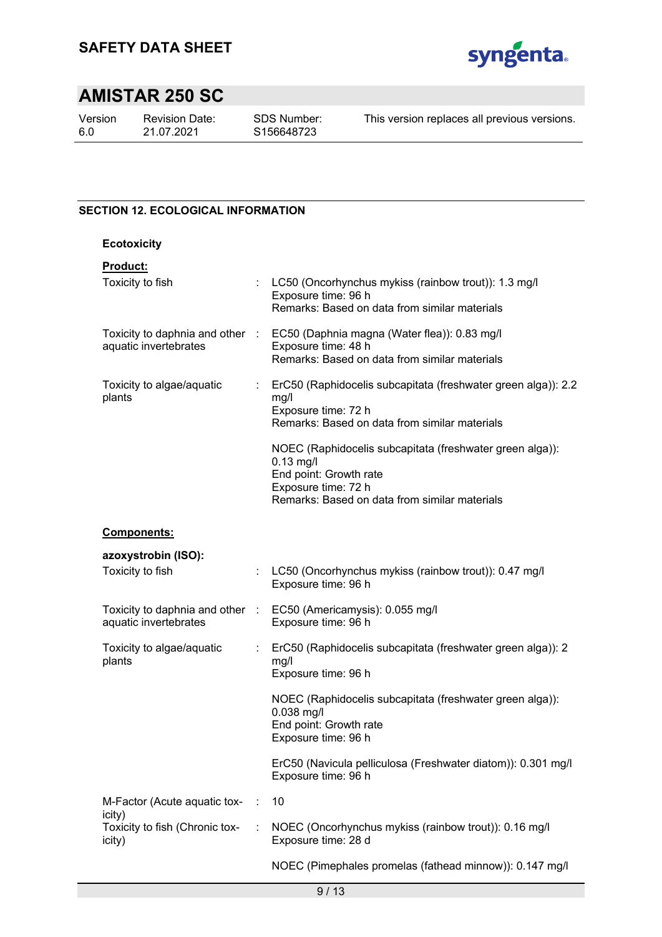

Version 6.0

Revision Date: 21.07.2021

SDS Number: S156648723

This version replaces all previous versions.

### **SECTION 12. ECOLOGICAL INFORMATION**

| <b>Ecotoxicity</b>                                       |   |                                                                                                                                                                           |
|----------------------------------------------------------|---|---------------------------------------------------------------------------------------------------------------------------------------------------------------------------|
| Product:<br>Toxicity to fish                             |   | : LC50 (Oncorhynchus mykiss (rainbow trout)): 1.3 mg/l<br>Exposure time: 96 h                                                                                             |
|                                                          |   | Remarks: Based on data from similar materials                                                                                                                             |
| aquatic invertebrates                                    |   | Toxicity to daphnia and other : EC50 (Daphnia magna (Water flea)): 0.83 mg/l<br>Exposure time: 48 h<br>Remarks: Based on data from similar materials                      |
| Toxicity to algae/aquatic<br>plants                      |   | ErC50 (Raphidocelis subcapitata (freshwater green alga)): 2.2<br>mg/l<br>Exposure time: 72 h<br>Remarks: Based on data from similar materials                             |
|                                                          |   | NOEC (Raphidocelis subcapitata (freshwater green alga)):<br>$0.13$ mg/l<br>End point: Growth rate<br>Exposure time: 72 h<br>Remarks: Based on data from similar materials |
| <b>Components:</b>                                       |   |                                                                                                                                                                           |
| azoxystrobin (ISO):                                      |   |                                                                                                                                                                           |
| Toxicity to fish                                         |   | LC50 (Oncorhynchus mykiss (rainbow trout)): 0.47 mg/l<br>Exposure time: 96 h                                                                                              |
| Toxicity to daphnia and other :<br>aquatic invertebrates |   | EC50 (Americamysis): 0.055 mg/l<br>Exposure time: 96 h                                                                                                                    |
| Toxicity to algae/aquatic<br>plants                      | ÷ | ErC50 (Raphidocelis subcapitata (freshwater green alga)): 2<br>mg/l<br>Exposure time: 96 h                                                                                |
|                                                          |   | NOEC (Raphidocelis subcapitata (freshwater green alga)):<br>0.038 mg/l<br>End point: Growth rate<br>Exposure time: 96 h                                                   |
|                                                          |   | ErC50 (Navicula pelliculosa (Freshwater diatom)): 0.301 mg/l<br>Exposure time: 96 h                                                                                       |
| M-Factor (Acute aquatic tox-                             | ÷ | 10                                                                                                                                                                        |
| icity)<br>Toxicity to fish (Chronic tox-<br>icity)       |   | NOEC (Oncorhynchus mykiss (rainbow trout)): 0.16 mg/l<br>Exposure time: 28 d                                                                                              |
|                                                          |   | NOEC (Pimephales promelas (fathead minnow)): 0.147 mg/l                                                                                                                   |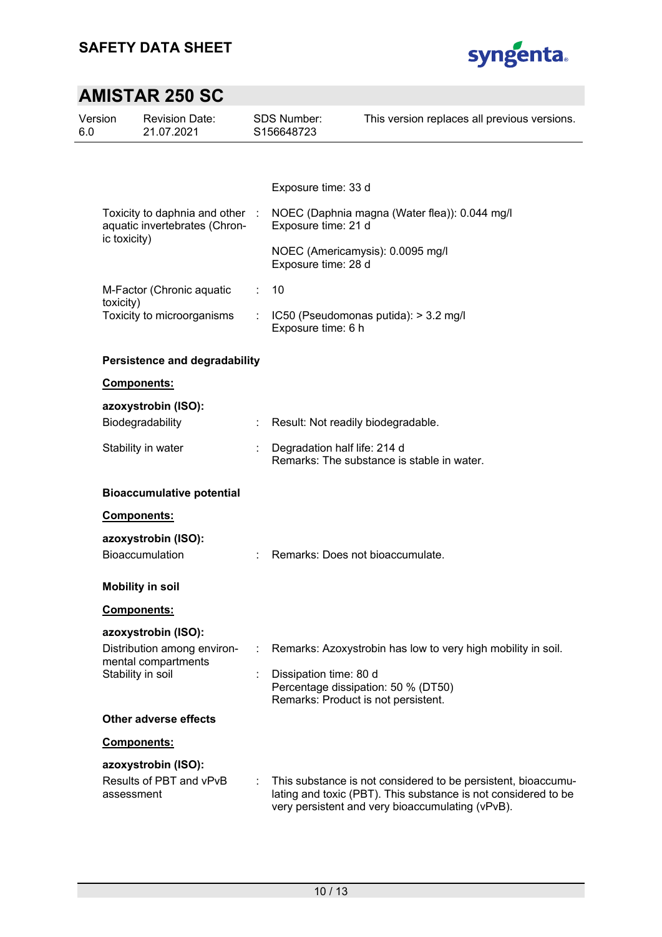

| Version<br>6.0 | <b>Revision Date:</b><br>21.07.2021                            |   | SDS Number:<br>S156648723                                     | This version replaces all previous versions.                                                                                                                                        |
|----------------|----------------------------------------------------------------|---|---------------------------------------------------------------|-------------------------------------------------------------------------------------------------------------------------------------------------------------------------------------|
|                |                                                                |   |                                                               |                                                                                                                                                                                     |
|                |                                                                |   | Exposure time: 33 d                                           |                                                                                                                                                                                     |
|                | Toxicity to daphnia and other<br>aquatic invertebrates (Chron- |   | Exposure time: 21 d                                           | NOEC (Daphnia magna (Water flea)): 0.044 mg/l                                                                                                                                       |
|                | ic toxicity)                                                   |   | Exposure time: 28 d                                           | NOEC (Americamysis): 0.0095 mg/l                                                                                                                                                    |
|                | M-Factor (Chronic aquatic                                      | ÷ | 10                                                            |                                                                                                                                                                                     |
|                | toxicity)<br>Toxicity to microorganisms                        | ÷ | Exposure time: 6 h                                            | IC50 (Pseudomonas putida): > 3.2 mg/l                                                                                                                                               |
|                | <b>Persistence and degradability</b>                           |   |                                                               |                                                                                                                                                                                     |
|                | Components:                                                    |   |                                                               |                                                                                                                                                                                     |
|                | azoxystrobin (ISO):                                            |   |                                                               |                                                                                                                                                                                     |
|                | Biodegradability                                               | ÷ | Result: Not readily biodegradable.                            |                                                                                                                                                                                     |
|                | Stability in water                                             |   | Degradation half life: 214 d                                  | Remarks: The substance is stable in water.                                                                                                                                          |
|                | <b>Bioaccumulative potential</b>                               |   |                                                               |                                                                                                                                                                                     |
|                | <b>Components:</b>                                             |   |                                                               |                                                                                                                                                                                     |
|                | azoxystrobin (ISO):                                            |   |                                                               |                                                                                                                                                                                     |
|                | Bioaccumulation                                                |   | Remarks: Does not bioaccumulate.                              |                                                                                                                                                                                     |
|                | <b>Mobility in soil</b>                                        |   |                                                               |                                                                                                                                                                                     |
|                | <b>Components:</b>                                             |   |                                                               |                                                                                                                                                                                     |
|                | azoxystrobin (ISO):                                            |   |                                                               |                                                                                                                                                                                     |
|                | Distribution among environ-                                    |   |                                                               | Remarks: Azoxystrobin has low to very high mobility in soil.                                                                                                                        |
|                | mental compartments<br>Stability in soil                       |   | Dissipation time: 80 d<br>Remarks: Product is not persistent. | Percentage dissipation: 50 % (DT50)                                                                                                                                                 |
|                | <b>Other adverse effects</b>                                   |   |                                                               |                                                                                                                                                                                     |
|                | Components:                                                    |   |                                                               |                                                                                                                                                                                     |
|                | azoxystrobin (ISO):                                            |   |                                                               |                                                                                                                                                                                     |
|                | Results of PBT and vPvB<br>assessment                          |   |                                                               | This substance is not considered to be persistent, bioaccumu-<br>lating and toxic (PBT). This substance is not considered to be<br>very persistent and very bioaccumulating (vPvB). |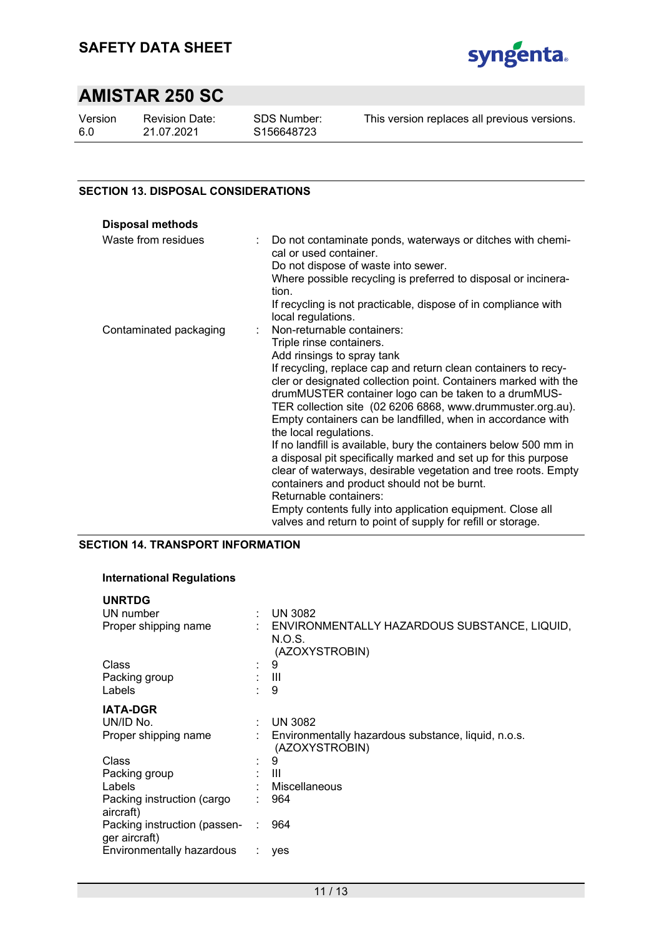

Version 6.0

Revision Date: 21.07.2021

SDS Number: S156648723

This version replaces all previous versions.

### **SECTION 13. DISPOSAL CONSIDERATIONS**

| <b>Disposal methods</b> |                                                                                                                                                                                                                                                                                                                                                  |
|-------------------------|--------------------------------------------------------------------------------------------------------------------------------------------------------------------------------------------------------------------------------------------------------------------------------------------------------------------------------------------------|
| Waste from residues     | Do not contaminate ponds, waterways or ditches with chemi-<br>cal or used container.<br>Do not dispose of waste into sewer.<br>Where possible recycling is preferred to disposal or incinera-<br>tion.<br>If recycling is not practicable, dispose of in compliance with                                                                         |
|                         | local regulations.                                                                                                                                                                                                                                                                                                                               |
| Contaminated packaging  | Non-returnable containers:                                                                                                                                                                                                                                                                                                                       |
|                         | Triple rinse containers.                                                                                                                                                                                                                                                                                                                         |
|                         | Add rinsings to spray tank                                                                                                                                                                                                                                                                                                                       |
|                         | If recycling, replace cap and return clean containers to recy-<br>cler or designated collection point. Containers marked with the<br>drumMUSTER container logo can be taken to a drumMUS-<br>TER collection site (02 6206 6868, www.drummuster.org.au).<br>Empty containers can be landfilled, when in accordance with<br>the local regulations. |
|                         | If no landfill is available, bury the containers below 500 mm in<br>a disposal pit specifically marked and set up for this purpose                                                                                                                                                                                                               |
|                         | clear of waterways, desirable vegetation and tree roots. Empty<br>containers and product should not be burnt.                                                                                                                                                                                                                                    |
|                         | Returnable containers:                                                                                                                                                                                                                                                                                                                           |
|                         | Empty contents fully into application equipment. Close all<br>valves and return to point of supply for refill or storage.                                                                                                                                                                                                                        |

## **SECTION 14. TRANSPORT INFORMATION**

#### **International Regulations**

| ÷.     | <b>UN 3082</b>                                                             |
|--------|----------------------------------------------------------------------------|
|        | : ENVIRONMENTALLY HAZARDOUS SUBSTANCE, LIQUID,<br>N.O.S.<br>(AZOXYSTROBIN) |
| $\sim$ | 9                                                                          |
|        | : III                                                                      |
|        | 9                                                                          |
|        |                                                                            |
|        | <b>UN 3082</b>                                                             |
|        | Environmentally hazardous substance, liquid, n.o.s.<br>(AZOXYSTROBIN)      |
|        | 9                                                                          |
|        | : III                                                                      |
|        | Miscellaneous                                                              |
|        | 964                                                                        |
|        | 964                                                                        |
|        | yes                                                                        |
|        |                                                                            |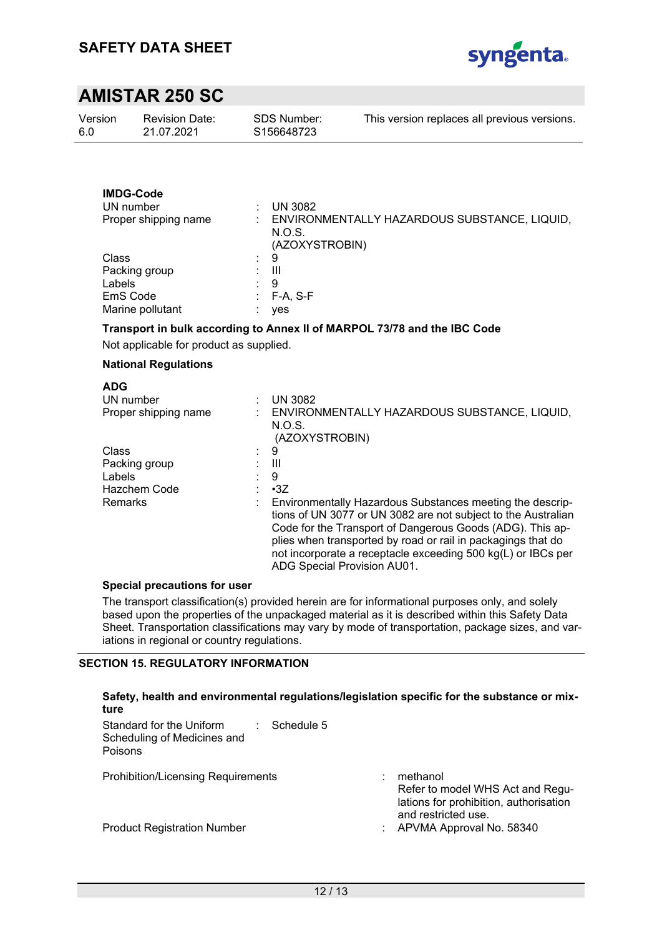

| Version | <b>Revision Date:</b> | <b>SDS Number:</b> | This version replaces all previous versions. |
|---------|-----------------------|--------------------|----------------------------------------------|
| 6.0     | 21.07.2021            | S156648723         |                                              |
|         |                       |                    |                                              |

## **IMDG-Code**

| UN number            |              | <b>UN 3082</b>                                                           |
|----------------------|--------------|--------------------------------------------------------------------------|
| Proper shipping name |              | ENVIRONMENTALLY HAZARDOUS SUBSTANCE, LIQUID,<br>N.O.S.<br>(AZOXYSTROBIN) |
| Class                | ÷.           | -9                                                                       |
| Packing group        |              | Ш                                                                        |
| Labels               |              | 9                                                                        |
| EmS Code             | <b>Allen</b> | $F-A, S-F$                                                               |
| Marine pollutant     |              | yes                                                                      |

### **Transport in bulk according to Annex II of MARPOL 73/78 and the IBC Code**

Not applicable for product as supplied.

### **National Regulations**

| <b>ADG</b>           |                                                               |
|----------------------|---------------------------------------------------------------|
| UN number            | <b>UN 3082</b>                                                |
| Proper shipping name | ENVIRONMENTALLY HAZARDOUS SUBSTANCE, LIQUID,                  |
|                      | N.O.S.                                                        |
|                      | (AZOXYSTROBIN)                                                |
| Class                | 9                                                             |
| Packing group        | Ш                                                             |
| Labels               | 9                                                             |
| Hazchem Code         | $\cdot 3Z$                                                    |
| Remarks              | Environmentally Hazardous Substances meeting the descrip-     |
|                      | tions of UN 3077 or UN 3082 are not subject to the Australian |
|                      | Code for the Transport of Dangerous Goods (ADG). This ap-     |
|                      | plies when transported by road or rail in packagings that do  |
|                      | not incorporate a receptacle exceeding 500 kg(L) or IBCs per  |
|                      | ADG Special Provision AU01.                                   |

### **Special precautions for user**

The transport classification(s) provided herein are for informational purposes only, and solely based upon the properties of the unpackaged material as it is described within this Safety Data Sheet. Transportation classifications may vary by mode of transportation, package sizes, and variations in regional or country regulations.

### **SECTION 15. REGULATORY INFORMATION**

#### **Safety, health and environmental regulations/legislation specific for the substance or mixture**  Standard for the Uniform : Schedule 5

| Scheduling of Medicines and<br><b>Poisons</b> |    |                                                                                                               |
|-----------------------------------------------|----|---------------------------------------------------------------------------------------------------------------|
| <b>Prohibition/Licensing Requirements</b>     |    | methanol<br>Refer to model WHS Act and Regu-<br>lations for prohibition, authorisation<br>and restricted use. |
| <b>Product Registration Number</b>            | t. | APVMA Approval No. 58340                                                                                      |